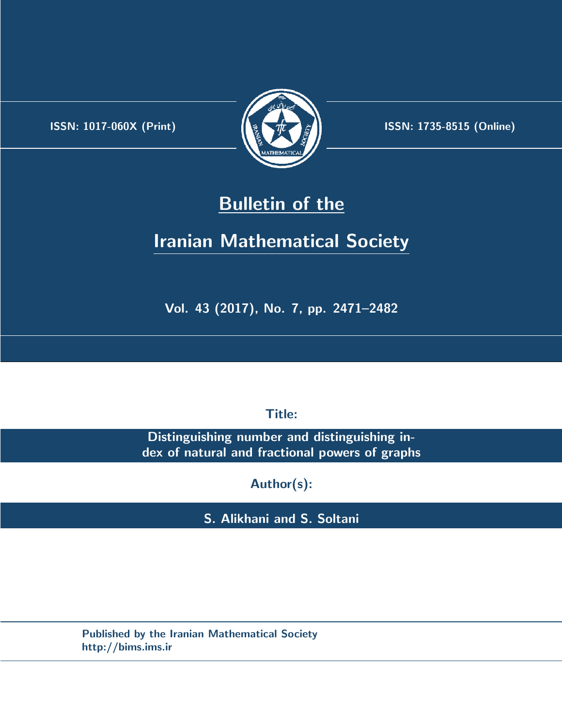.



**ISSN:** 1017-060X (Print)  $\left(\frac{1}{2}\right)$   $\frac{1}{2}$   $\frac{1}{2}$   $\frac{1}{2}$  **ISSN:** 1735-8515 (Online)

## **Bulletin of the**

# **Iranian Mathematical Society**

**Vol. 43 (2017), No. 7, pp. 2471–2482**

**Title:**

**Distinguishing number and distinguishing index of natural and fractional powers of graphs**

**Author(s):**

**S. Alikhani and S. Soltani**

**Published by the Iranian Mathematical Society http://bims.ims.ir**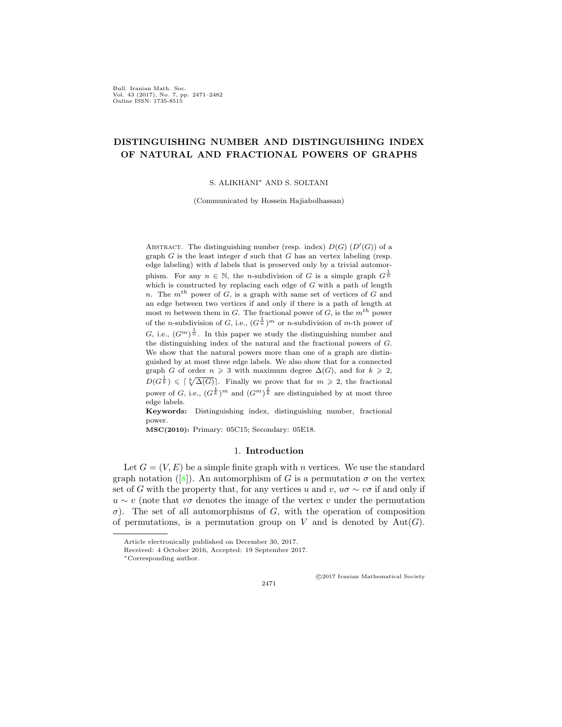Bull. Iranian Math. Soc. Vol. 43 (2017), No. 7, pp. 2471–2482 Online ISSN: 1735-8515

### **DISTINGUISHING NUMBER AND DISTINGUISHING INDEX OF NATURAL AND FRACTIONAL POWERS OF GRAPHS**

S. ALIKHANI*∗* AND S. SOLTANI

(Communicated by Hossein Hajiabolhassan)

ABSTRACT. The distinguishing number (resp. index)  $D(G)$  ( $D'(G)$ ) of a graph *G* is the least integer *d* such that *G* has an vertex labeling (resp. edge labeling) with *d* labels that is preserved only by a trivial automorphism. For any  $n \in \mathbb{N}$ , the *n*-subdivision of *G* is a simple graph  $G^{\frac{1}{n}}$ which is constructed by replacing each edge of *G* with a path of length *n*. The *mth* power of *G*, is a graph with same set of vertices of *G* and an edge between two vertices if and only if there is a path of length at most *m* between them in *G*. The fractional power of *G*, is the *mth* power of the *n*-subdivision of *G*, i.e.,  $(G^{\frac{1}{n}})^m$  or *n*-subdivision of *m*-th power of *G*, i.e.,  $(G^m)^{\frac{1}{n}}$ . In this paper we study the distinguishing number and the distinguishing index of the natural and the fractional powers of *G*. We show that the natural powers more than one of a graph are distinguished by at most three edge labels. We also show that for a connected graph *G* of order  $n \geq 3$  with maximum degree  $\Delta(G)$ , and for  $k \geq 2$ ,  $D(G^{\frac{1}{k}}) \leqslant \lceil \sqrt[k]{\Delta(G)} \rceil$ . Finally we prove that for  $m \geqslant 2$ , the fractional power of *G*, i.e.,  $(G^{\frac{1}{k}})^m$  and  $(G^m)^{\frac{1}{k}}$  are distinguished by at most three edge labels.

**Keywords:** Distinguishing index, distinguishing number, fractional power.

**MSC(2010):** Primary: 05C15; Secondary: 05E18.

#### 1. **Introduction**

Let  $G = (V, E)$  be a simple finite graph with *n* vertices. We use the standard graph notation ([[8\]](#page-11-0)). An automorphism of *G* is a permutation  $\sigma$  on the vertex set of *G* with the property that, for any vertices *u* and *v*,  $u\sigma \sim v\sigma$  if and only if *u* ∼ *v* (note that *v* $\sigma$  denotes the image of the vertex *v* under the permutation *σ*). The set of all automorphisms of *G*, with the operation of composition of permutations, is a permutation group on  $V$  and is denoted by  $Aut(G)$ .

2471

*⃝*c 2017 Iranian Mathematical Society

Article electronically published on December 30, 2017.

Received: 4 October 2016, Accepted: 19 September 2017.

*<sup>∗</sup>*Corresponding author.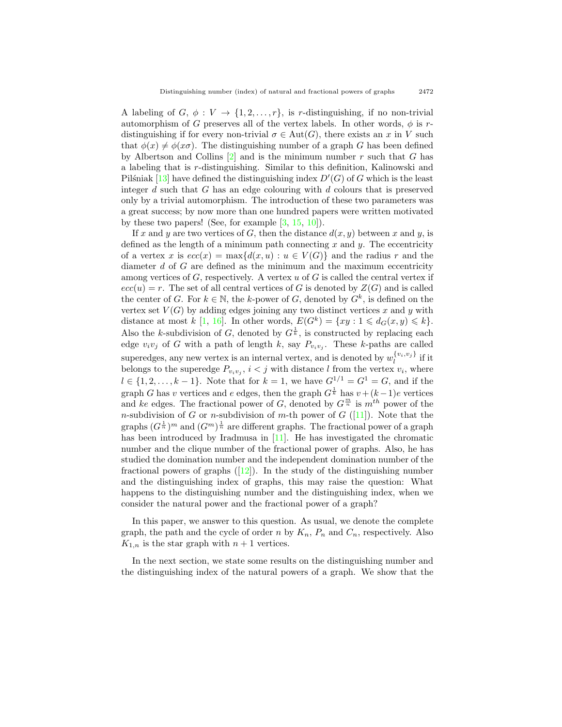A labeling of  $G, \phi: V \to \{1, 2, \ldots, r\}$ , is *r*-distinguishing, if no non-trivial automorphism of *G* preserves all of the vertex labels. In other words,  $\phi$  is *r*distinguishing if for every non-trivial  $\sigma \in Aut(G)$ , there exists an *x* in *V* such that  $\phi(x) \neq \phi(x\sigma)$ . The distinguishing number of a graph *G* has been defined by Albertson and Collins [[2\]](#page-11-1) and is the minimum number *r* such that *G* has a labeling that is *r*-distinguishing. Similar to this definition, Kalinowski and Pilstiniak  $[13]$  $[13]$  have defined the distinguishing index  $D'(G)$  of  $G$  which is the least integer *d* such that *G* has an edge colouring with *d* colours that is preserved only by a trivial automorphism. The introduction of these two parameters was a great success; by now more than one hundred papers were written motivated by these two papers! (See, for example  $[3, 15, 10]$  $[3, 15, 10]$  $[3, 15, 10]$  $[3, 15, 10]$  $[3, 15, 10]$ ).

If *x* and *y* are two vertices of *G*, then the distance  $d(x, y)$  between *x* and *y*, is defined as the length of a minimum path connecting *x* and *y*. The eccentricity of a vertex *x* is  $ecc(x) = max{d(x, u) : u \in V(G)}$  and the radius *r* and the diameter *d* of *G* are defined as the minimum and the maximum eccentricity among vertices of *G*, respectively. A vertex *u* of *G* is called the central vertex if  $ecc(u) = r$ . The set of all central vertices of *G* is denoted by  $Z(G)$  and is called the center of *G*. For  $k \in \mathbb{N}$ , the *k*-power of *G*, denoted by  $G^k$ , is defined on the vertex set  $V(G)$  by adding edges joining any two distinct vertices x and y with distance at most *k* [\[1](#page-11-4), [16](#page-12-2)]. In other words,  $E(G^k) = \{xy : 1 \leq d_G(x, y) \leq k\}.$ Also the *k*-subdivision of *G*, denoted by  $G^{\frac{1}{k}}$ , is constructed by replacing each edge  $v_i v_j$  of *G* with a path of length *k*, say  $P_{v_i v_j}$ . These *k*-paths are called  $\mathbf{S}$  superedges, any new vertex is an internal vertex, and is denoted by  $w_l^{\{v_i,v_j\}}$  if it belongs to the superedge  $P_{v_i v_j}$ ,  $i < j$  with distance *l* from the vertex  $v_i$ , where *l* ∈ {1, 2, . . . , *k* − 1}. Note that for *k* = 1, we have  $G^{1/1} = G^1 = G$ , and if the graph *G* has *v* vertices and *e* edges, then the graph  $G^{\frac{1}{k}}$  has  $v + (k-1)e$  vertices and *ke* edges. The fractional power of *G*, denoted by  $G^{\frac{m}{n}}$  is  $m^{th}$  power of the *n*-subdivision of *G* or *n*-subdivision of *m*-th power of *G* ([\[11](#page-12-3)]). Note that the graphs  $(G^{\frac{1}{n}})^m$  and  $(G^m)^{\frac{1}{n}}$  are different graphs. The fractional power of a graph has been introduced by Iradmusa in [\[11](#page-12-3)]. He has investigated the chromatic number and the clique number of the fractional power of graphs. Also, he has studied the domination number and the independent domination number of the fractional powers of graphs  $(12)$ . In the study of the distinguishing number and the distinguishing index of graphs, this may raise the question: What happens to the distinguishing number and the distinguishing index, when we consider the natural power and the fractional power of a graph?

In this paper, we answer to this question. As usual, we denote the complete graph, the path and the cycle of order *n* by  $K_n$ ,  $P_n$  and  $C_n$ , respectively. Also  $K_{1,n}$  is the star graph with  $n+1$  vertices.

In the next section, we state some results on the distinguishing number and the distinguishing index of the natural powers of a graph. We show that the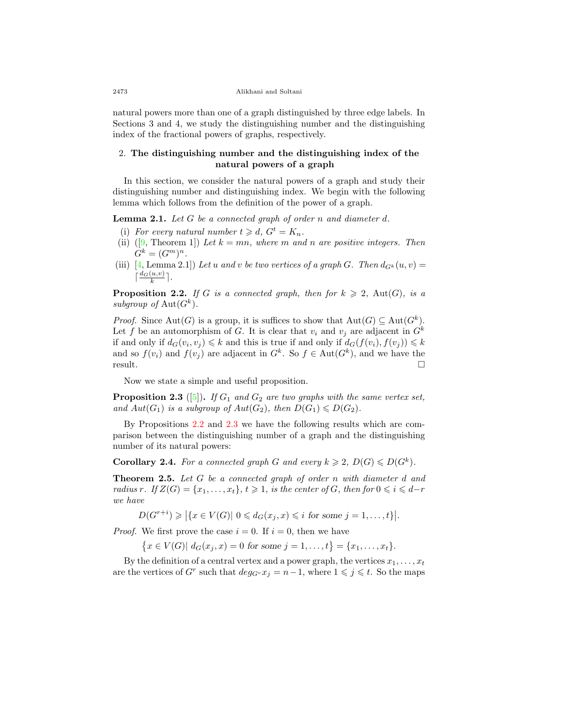natural powers more than one of a graph distinguished by three edge labels. In Sections 3 and 4, we study the distinguishing number and the distinguishing index of the fractional powers of graphs, respectively.

### 2. **The distinguishing number and the distinguishing index of the natural powers of a graph**

In this section, we consider the natural powers of a graph and study their distinguishing number and distinguishing index. We begin with the following lemma which follows from the definition of the power of a graph.

**Lemma 2.1.** *Let G be a connected graph of order n and diameter d.*

- (i) For every natural number  $t \geq d$ ,  $G^t = K_n$ .
- (ii)  $([9, \text{Theorem 1}])$  $([9, \text{Theorem 1}])$  $([9, \text{Theorem 1}])$  *Let*  $k = mn$ *, where*  $m$  *and*  $n$  *are positive integers. Then*  $G^{k} = (G^{m})^{n}.$
- (iii) [\[4](#page-11-6), Lemma 2.1]) Let *u* and *v* be two vertices of a graph G. Then  $d_{G^k}(u, v) =$  $\lceil \frac{d_G(u,v)}{k} \rceil$ .

<span id="page-3-0"></span>**Proposition 2.2.** *If G is a connected graph, then for*  $k \geq 2$ , Aut(*G*)*, is a* subgroup of  $Aut(G^k)$ .

*Proof.* Since  $Aut(G)$  is a group, it is suffices to show that  $Aut(G) \subseteq Aut(G^k)$ . Let f be an automorphism of G. It is clear that  $v_i$  and  $v_j$  are adjacent in  $G^k$ if and only if  $d_G(v_i, v_j) \leq k$  and this is true if and only if  $d_G(f(v_i), f(v_j)) \leq k$ and so  $f(v_i)$  and  $f(v_j)$  are adjacent in  $G^k$ . So  $f \in Aut(G^k)$ , and we have the result.  $\Box$ 

Now we state a simple and useful proposition.

<span id="page-3-1"></span>**Proposition 2.3** ([[5\]](#page-11-7))**.** *If G*<sup>1</sup> *and G*<sup>2</sup> *are two graphs with the same vertex set, and*  $Aut(G_1)$  *is a subgroup of*  $Aut(G_2)$ *, then*  $D(G_1) \leq D(G_2)$ *.* 

By Propositions [2.2](#page-3-0) and [2.3](#page-3-1) we have the following results which are comparison between the distinguishing number of a graph and the distinguishing number of its natural powers:

<span id="page-3-2"></span>**Corollary 2.4.** For a connected graph *G* and every  $k \geq 2$ ,  $D(G) \leq D(G^k)$ .

**Theorem 2.5.** *Let G be a connected graph of order n with diameter d and radius*  $r$ *.* If  $Z(G) = \{x_1, \ldots, x_t\}$ ,  $t \geq 1$ , is the center of  $G$ , then for  $0 \leq i \leq d-r$ *we have*

$$
D(G^{r+i}) \geqslant \left| \{ x \in V(G) | 0 \leqslant d_G(x_j, x) \leqslant i \text{ for some } j = 1, \ldots, t \} \right|.
$$

*Proof.* We first prove the case  $i = 0$ . If  $i = 0$ , then we have

 $\{x \in V(G) | d_G(x_j, x) = 0 \text{ for some } j = 1, \ldots, t\} = \{x_1, \ldots, x_t\}.$ 

By the definition of a central vertex and a power graph, the vertices  $x_1, \ldots, x_t$ are the vertices of  $G^r$  such that  $deg_{G^r} x_j = n-1$ , where  $1 \leq j \leq t$ . So the maps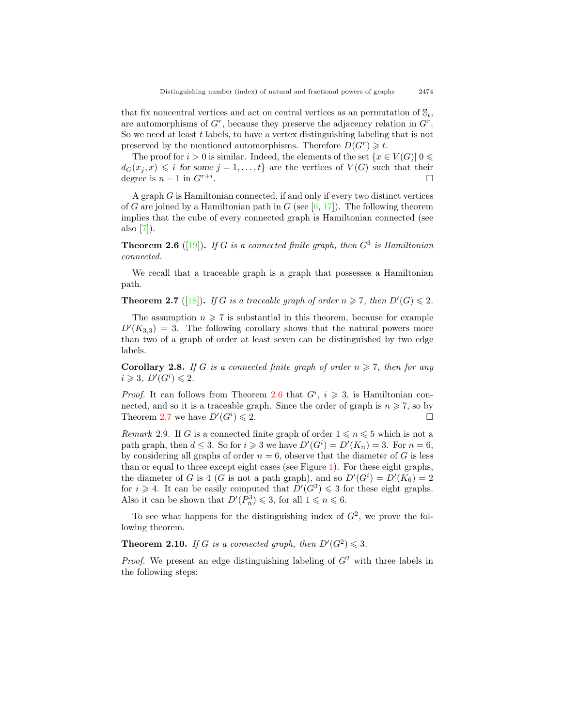that fix noncentral vertices and act on central vertices as an permutation of  $\mathbb{S}_t$ , are automorphisms of  $G<sup>r</sup>$ , because they preserve the adjacency relation in  $G<sup>r</sup>$ . So we need at least *t* labels, to have a vertex distinguishing labeling that is not preserved by the mentioned automorphisms. Therefore  $D(G^r) \geq t$ .

The proof for  $i > 0$  is similar. Indeed, the elements of the set  $\{x \in V(G) | 0 \leq \}$  $d_G(x_j, x) \leq i$  for some  $j = 1, \ldots, t$  are the vertices of  $V(G)$  such that their degree is  $n-1$  in  $G^{r+i}$ . . □

A graph *G* is Hamiltonian connected, if and only if every two distinct vertices of *G* are joined by a Hamiltonian path in *G* (see  $[6, 17]$  $[6, 17]$  $[6, 17]$  $[6, 17]$ ). The following theorem implies that the cube of every connected graph is Hamiltonian connected (see also [[7\]](#page-11-9)).

<span id="page-4-0"></span>**Theorem 2.6** ([\[19](#page-12-6)]). If *G* is a connected finite graph, then  $G^3$  is Hamiltonian *connected.*

We recall that a traceable graph is a graph that possesses a Hamiltonian path.

<span id="page-4-1"></span>**Theorem 2.7** ([[18\]](#page-12-7)). If *G* is a traceable graph of order  $n \ge 7$ , then  $D'(G) \le 2$ .

The assumption  $n \geq 7$  is substantial in this theorem, because for example  $D'(K_{3,3}) = 3$ . The following corollary shows that the natural powers more than two of a graph of order at least seven can be distinguished by two edge labels.

<span id="page-4-2"></span>**Corollary 2.8.** *If G is a connected finite graph of order*  $n \ge 7$ *, then for any*  $i \geqslant 3$ ,  $D'(G^i) \leqslant 2$ .

*Proof.* It can follows from Theorem [2.6](#page-4-0) that  $G^i$ ,  $i \geq 3$ , is Hamiltonian connected, and so it is a traceable graph. Since the order of graph is  $n \geq 7$ , so by Theorem [2.7](#page-4-1) we have  $D'(G^i)$  $) \leqslant 2.$ 

<span id="page-4-3"></span>*Remark* 2.9. If *G* is a connected finite graph of order  $1 \le n \le 5$  which is not a path graph, then  $d \leq 3$ . So for  $i \geq 3$  we have  $D'(G^i) = D'(K_n) = 3$ . For  $n = 6$ , by considering all graphs of order  $n = 6$ , observe that the diameter of *G* is less than or equal to three except eight cases (see Figure [1](#page-5-0)). For these eight graphs, the diameter of *G* is 4 (*G* is not a path graph), and so  $D'(G^i) = D'(K_6) = 2$ for  $i \geq 4$ . It can be easily computed that  $D'(G^3) \leq 3$  for these eight graphs. Also it can be shown that  $D'(P_n^3) \leq 3$ , for all  $1 \leq n \leq 6$ .

To see what happens for the distinguishing index of  $G^2$ , we prove the following theorem.

<span id="page-4-4"></span>**Theorem 2.10.** *If G is a connected graph, then*  $D'(G^2) \leq 3$ *.* 

*Proof.* We present an edge distinguishing labeling of *G*<sup>2</sup> with three labels in the following steps: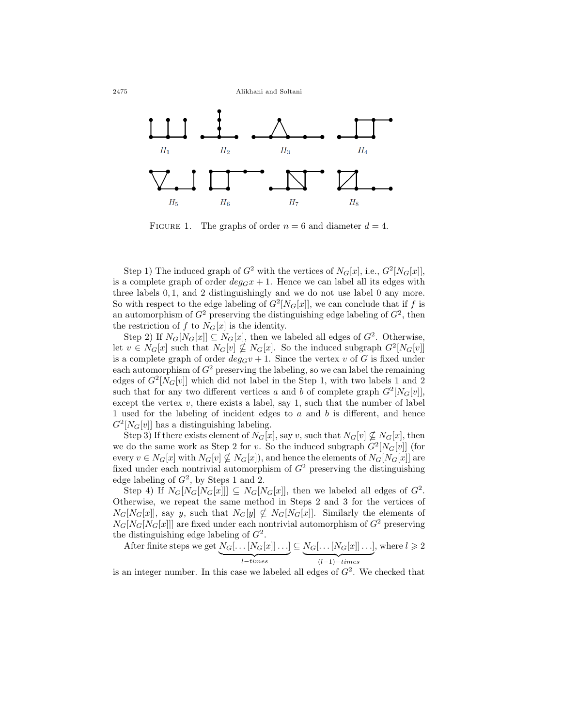2475 Alikhani and Soltani



<span id="page-5-0"></span>FIGURE 1. The graphs of order  $n = 6$  and diameter  $d = 4$ .

Step 1) The induced graph of  $G^2$  with the vertices of  $N_G[x]$ , i.e.,  $G^2[N_G[x]]$ , is a complete graph of order  $deg_G x + 1$ . Hence we can label all its edges with three labels 0*,* 1, and 2 distinguishingly and we do not use label 0 any more. So with respect to the edge labeling of  $G^2[N_G[x]]$ , we can conclude that if *f* is an automorphism of  $G^2$  preserving the distinguishing edge labeling of  $G^2$ , then the restriction of *f* to  $N_G[x]$  is the identity.

Step 2) If  $N_G[N_G[x]] \subseteq N_G[x]$ , then we labeled all edges of  $G^2$ . Otherwise, let  $v \in N_G[x]$  such that  $N_G[v] \nsubseteq K_G[x]$ . So the induced subgraph  $G^2[N_G[v]]$ is a complete graph of order  $deg_G v + 1$ . Since the vertex *v* of *G* is fixed under each automorphism of  $G^2$  preserving the labeling, so we can label the remaining edges of  $G^2[N_G[v]]$  which did not label in the Step 1, with two labels 1 and 2 such that for any two different vertices *a* and *b* of complete graph  $G^2[N_G[v]]$ , except the vertex  $v$ , there exists a label, say 1, such that the number of label 1 used for the labeling of incident edges to *a* and *b* is different, and hence  $G^2[N_G[v]]$  has a distinguishing labeling.

Step 3) If there exists element of  $N_G[x]$ , say *v*, such that  $N_G[v] \nsubseteq N_G[x]$ , then we do the same work as Step 2 for *v*. So the induced subgraph  $G^2[N_G[v]]$  (for every  $v \in N_G[x]$  with  $N_G[v] \nsubseteq N_G[x]$ , and hence the elements of  $N_G[N_G[x]]$  are fixed under each nontrivial automorphism of  $G<sup>2</sup>$  preserving the distinguishing edge labeling of  $G^2$ , by Steps 1 and 2.

Step 4) If  $N_G[N_G[N_G[x]]] \subseteq N_G[N_G[x]]$ , then we labeled all edges of  $G^2$ . Otherwise, we repeat the same method in Steps 2 and 3 for the vertices of  $N_G[N_G[x]]$ , say *y*, such that  $N_G[y] \nsubseteq N_G[N_G[x]]$ . Similarly the elements of  $N_G[N_G[N_G[x]]$  are fixed under each nontrivial automorphism of  $G^2$  preserving the distinguishing edge labeling of *G*<sup>2</sup> .

After finite steps we get  $N_G[\ldots[N_G[x]]\ldots]$ | {z } *l−times*  $\subseteq N_G[\ldots[N_G[x]]\ldots]$ | {z } (*l−*1)*−times* , where  $l \geqslant 2$ 

is an integer number. In this case we labeled all edges of  $G<sup>2</sup>$ . We checked that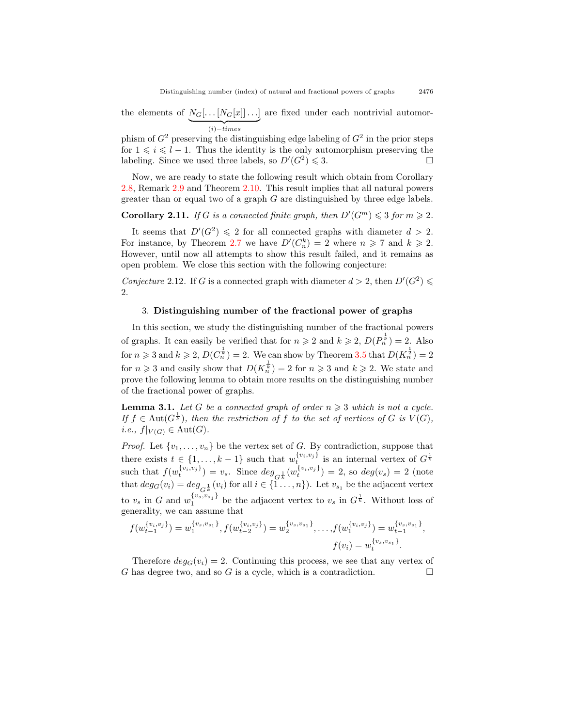the elements of  $N_G[\ldots[N_G[x]]\ldots]$ | {z } (*i*)*−times* are fixed under each nontrivial automor-

phism of  $G^2$  preserving the distinguishing edge labeling of  $G^2$  in the prior steps for  $1 \leq i \leq l-1$ . Thus the identity is the only automorphism preserving the labeling. Since we used three labels, so  $D'(G^2) \leq 3$ .

Now, we are ready to state the following result which obtain from Corollary [2.8,](#page-4-2) Remark [2.9](#page-4-3) and Theorem [2.10](#page-4-4). This result implies that all natural powers greater than or equal two of a graph *G* are distinguished by three edge labels.

## <span id="page-6-0"></span>**Corollary 2.11.** *If G is a connected finite graph, then*  $D'(G^m) \leq 3$  *for*  $m \geq 2$ *.*

It seems that  $D'(G^2) \leq 2$  for all connected graphs with diameter  $d > 2$ . For instance, by Theorem [2.7](#page-4-1) we have  $D'(C_n^k) = 2$  where  $n \ge 7$  and  $k \ge 2$ . However, until now all attempts to show this result failed, and it remains as open problem. We close this section with the following conjecture:

*Conjecture* 2.12. If *G* is a connected graph with diameter  $d > 2$ , then  $D'(G^2) \le$ 2.

#### 3. **Distinguishing number of the fractional power of graphs**

In this section, we study the distinguishing number of the fractional powers of graphs. It can easily be verified that for  $n \ge 2$  and  $k \ge 2$ ,  $D(P_n^{\frac{1}{k}}) = 2$ . Also for  $n \geqslant 3$  and  $k \geqslant 2$ ,  $D(C_n^{\frac{1}{k}}) = 2$ . We can show by Theorem [3.5](#page-7-0) that  $D(K_n^{\frac{1}{2}}) = 2$ for  $n \ge 3$  and easily show that  $D(K_n^{\frac{1}{k}}) = 2$  for  $n \ge 3$  and  $k \ge 2$ . We state and prove the following lemma to obtain more results on the distinguishing number of the fractional power of graphs.

**Lemma 3.1.** Let G be a connected graph of order  $n \geq 3$  which is not a cycle. *If*  $f \in Aut(G^{\frac{1}{k}})$ , then the restriction of  $f$  to the set of vertices of  $G$  is  $V(G)$ ,  $i.e., f|_{V(G)} \in Aut(G).$ 

*Proof.* Let  $\{v_1, \ldots, v_n\}$  be the vertex set of *G*. By contradiction, suppose that there exists  $t \in \{1, \ldots, k-1\}$  such that  $w_t^{\{v_i, v_j\}}$  is an internal vertex of  $G^{\frac{1}{k}}$ such that  $f(w_t^{\{v_i,v_j\}}) = v_s$ . Since  $deg_{G_k^{\frac{1}{k}}}(w_t^{\{v_i,v_j\}}) = 2$ , so  $deg(v_s) = 2$  (note that  $deg_G(v_i) = deg_{G^{\frac{1}{k}}}(v_i)$  for all  $i \in \{1 \ldots, n\}$ ). Let  $v_{s_1}$  be the adjacent vertex to  $v_s$  in *G* and  $w_1^{\{v_s, v_{s_1}\}}$  be the adjacent vertex to  $v_s$  in  $G^{\frac{1}{k}}$ . Without loss of generality, we can assume that

$$
f(w_{t-1}^{\{v_i, v_j\}}) = w_1^{\{v_s, v_{s_1}\}}, f(w_{t-2}^{\{v_i, v_j\}}) = w_2^{\{v_s, v_{s_1}\}}, \dots, f(w_1^{\{v_i, v_j\}}) = w_{t-1}^{\{v_s, v_{s_1}\}},
$$
  

$$
f(v_i) = w_t^{\{v_s, v_{s_1}\}}.
$$

Therefore  $deg_G(v_i) = 2$ . Continuing this process, we see that any vertex of *G* has degree two, and so *G* is a cycle, which is a contradiction.  $\Box$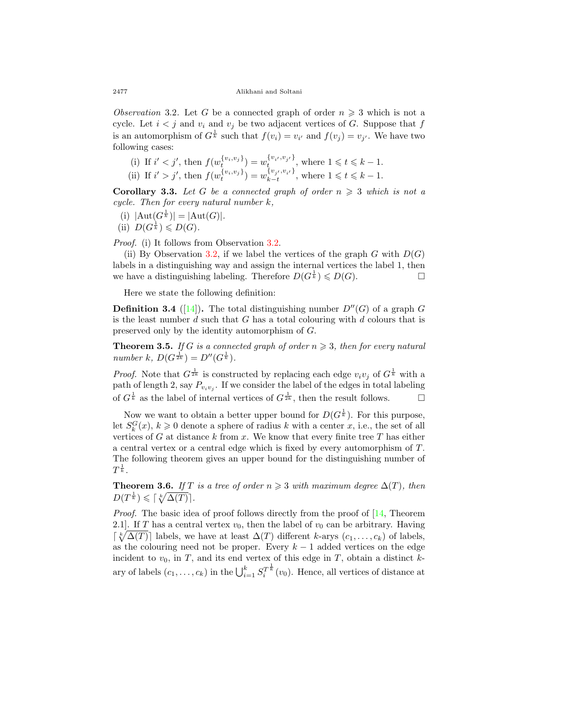<span id="page-7-1"></span>*Observation* 3.2. Let *G* be a connected graph of order  $n \geq 3$  which is not a cycle. Let  $i < j$  and  $v_i$  and  $v_j$  be two adjacent vertices of *G*. Suppose that *f* is an automorphism of  $G^{\frac{1}{k}}$  such that  $f(v_i) = v_{i'}$  and  $f(v_j) = v_{j'}$ . We have two following cases:

(i) If  $i' < j'$ , then  $f(w_t^{\{v_i, v_j\}}) = w_t^{\{v_{i'}, v_{j'}\}}$ , where  $1 \leq t \leq k - 1$ . (ii) If  $i' > j'$ , then  $f(w_t^{\{v_i, v_j\}}) = w_{k-t}^{\{v_{j'}, v_{i'}\}}$ , where  $1 \leq t \leq k - 1$ .

<span id="page-7-3"></span>**Corollary 3.3.** Let G be a connected graph of order  $n \geq 3$  which is not a

- *cycle. Then for every natural number k,*  $(i) |Aut(G^{\frac{1}{k}})| = |Aut(G)|$ .
- (ii)  $D(G^{\frac{1}{k}}) \leqslant D(G)$ .

*Proof.* (i) It follows from Observation [3.2.](#page-7-1)

(ii) By Observation [3.2,](#page-7-1) if we label the vertices of the graph  $G$  with  $D(G)$ labels in a distinguishing way and assign the internal vertices the label 1, then we have a distinguishing labeling. Therefore  $D(G^{\frac{1}{k}}) \leqslant D(G)$ .

Here we state the following definition:

**Definition 3.4** ([[14](#page-12-8)]). The total distinguishing number  $D''(G)$  of a graph *G* is the least number *d* such that *G* has a total colouring with *d* colours that is preserved only by the identity automorphism of *G*.

<span id="page-7-0"></span>**Theorem 3.5.** If *G* is a connected graph of order  $n \geq 3$ , then for every natural  $number \; k, \; D(G^{\frac{1}{2k}}) = D''(G^{\frac{1}{k}}).$ 

*Proof.* Note that  $G^{\frac{1}{2k}}$  is constructed by replacing each edge  $v_i v_j$  of  $G^{\frac{1}{k}}$  with a path of length 2, say  $P_{v_i v_j}$ . If we consider the label of the edges in total labeling of  $G^{\frac{1}{k}}$  as the label of internal vertices of  $G^{\frac{1}{2k}}$ , then the result follows.  $\Box$ 

Now we want to obtain a better upper bound for  $D(G^{\frac{1}{k}})$ . For this purpose, let  $S_k^G(x)$ ,  $k \geq 0$  denote a sphere of radius *k* with a center *x*, i.e., the set of all vertices of *G* at distance *k* from *x*. We know that every finite tree *T* has either a central vertex or a central edge which is fixed by every automorphism of *T*. The following theorem gives an upper bound for the distinguishing number of  $T^{\frac{1}{k}}$ .

<span id="page-7-2"></span>**Theorem 3.6.** *If T is a tree of order*  $n \geq 3$  *with maximum degree*  $\Delta(T)$ *, then*  $D(T^{\frac{1}{k}}) \leqslant \lceil \sqrt[k]{\Delta(T)} \rceil$ .

*Proof.* The basic idea of proof follows directly from the proof of [\[14](#page-12-8), Theorem 2.1]. If *T* has a central vertex  $v_0$ , then the label of  $v_0$  can be arbitrary. Having  $\lceil \sqrt[k]{\Delta(T)} \rceil$  labels, we have at least  $\Delta(T)$  different *k*-arys  $(c_1, \ldots, c_k)$  of labels, as the colouring need not be proper. Every *k −* 1 added vertices on the edge incident to  $v_0$ , in  $T$ , and its end vertex of this edge in  $T$ , obtain a distinct  $k$ ary of labels  $(c_1, \ldots, c_k)$  in the  $\bigcup_{i=1}^k S_i^{T^{\frac{1}{k}}}(v_0)$ . Hence, all vertices of distance at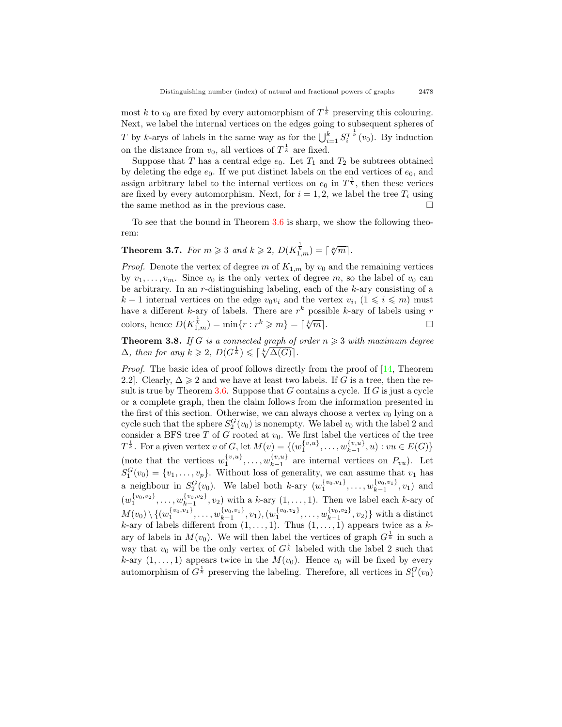most *k* to  $v_0$  are fixed by every automorphism of  $T^{\frac{1}{k}}$  preserving this colouring. Next, we label the internal vertices on the edges going to subsequent spheres of *T* by *k*-arys of labels in the same way as for the  $\bigcup_{i=1}^{k} S_i^{T_k^{\frac{1}{k}}}(v_0)$ . By induction on the distance from  $v_0$ , all vertices of  $T^{\frac{1}{k}}$  are fixed.

Suppose that *T* has a central edge  $e_0$ . Let  $T_1$  and  $T_2$  be subtrees obtained by deleting the edge  $e_0$ . If we put distinct labels on the end vertices of  $e_0$ , and assign arbitrary label to the internal vertices on  $e_0$  in  $T^{\frac{1}{k}}$ , then these verices are fixed by every automorphism. Next, for  $i = 1, 2$ , we label the tree  $T_i$  using the same method as in the previous case.  $\Box$ 

To see that the bound in Theorem [3.6](#page-7-2) is sharp, we show the following theorem:

**Theorem 3.7.** *For*  $m \ge 3$  *and*  $k \ge 2$ ,  $D(K_{1,m}^{\frac{1}{k}}) = \lceil \sqrt[k]{m} \rceil$ *.* 

*Proof.* Denote the vertex of degree  $m$  of  $K_{1,m}$  by  $v_0$  and the remaining vertices by  $v_1, \ldots, v_m$ . Since  $v_0$  is the only vertex of degree m, so the label of  $v_0$  can be arbitrary. In an *r*-distinguishing labeling, each of the *k*-ary consisting of a *k* − 1 internal vertices on the edge  $v_0v_i$  and the vertex  $v_i$ ,  $(1 \leq i \leq m)$  must have a different *k*-ary of labels. There are *r <sup>k</sup>* possible *k*-ary of labels using *r*  $\text{colors, hence } D(K_{1,m}^{\frac{1}{k}}) = \min\{r : r^k \geqslant m\} = \lceil$ *√m*<sup>*j*</sup>. □

<span id="page-8-0"></span>**Theorem 3.8.** *If G is a connected graph of order*  $n \geq 3$  *with maximum degree*  $\Delta$ *, then for any*  $k \geqslant 2$ ,  $D(G^{\frac{1}{k}}) \leqslant \lceil \sqrt[k]{\Delta(G)} \rceil$ .

*Proof.* The basic idea of proof follows directly from the proof of [\[14](#page-12-8), Theorem 2.2]. Clearly,  $\Delta \geq 2$  and we have at least two labels. If *G* is a tree, then the result is true by Theorem [3.6.](#page-7-2) Suppose that *G* contains a cycle. If *G* is just a cycle or a complete graph, then the claim follows from the information presented in the first of this section. Otherwise, we can always choose a vertex  $v_0$  lying on a cycle such that the sphere  $S_2^G(v_0)$  is nonempty. We label  $v_0$  with the label 2 and consider a BFS tree  $T$  of  $G$  rooted at  $v_0$ . We first label the vertices of the tree *T*<sup> $\frac{1}{k}$ . For a given vertex *v* of *G*, let  $M(v) = \{(w_1^{\{v,u\}}, \ldots, w_{k-1}^{\{v,u\}})$ </sup>  $\{x_1^{(v,u)}, u\}$  :  $vu \in E(G)$ } (note that the vertices  $w_1^{\{v,u\}}, \ldots, w_{k-1}^{\{v,u\}}$  $\chi_{k-1}^{v,u}$  are internal vertices on  $P_{vu}$ ). Let  $S_1^G(v_0) = \{v_1, \ldots, v_p\}$ . Without loss of generality, we can assume that  $v_1$  has a neighbour in  $S_2^G(v_0)$ . We label both *k*-ary  $(w_1^{\{v_0, v_1\}}, \ldots, w_{k-1}^{\{v_0, v_1\}}, v_1)$  and *k−*1  $(w_1^{\{v_0, v_2\}}, \ldots, w_{k-1}^{\{v_0, v_2\}}, v_2)$  with a *k*-ary  $(1, \ldots, 1)$ . Then we label each *k*-ary of  $M(v_0)\setminus\{(w_1^{\{v_0,v_1\}},\ldots,w_{k-1}^{\{v_0,v_1\}},v_1),(w_1^{\{v_0,v_2\}},\ldots,w_{k-1}^{\{v_0,v_2\}},v_2)\}$  with a distinct *k*-ary of labels different from  $(1, \ldots, 1)$ . Thus  $(1, \ldots, 1)$  appears twice as a *k*ary of labels in  $M(v_0)$ . We will then label the vertices of graph  $G^{\frac{1}{k}}$  in such a way that  $v_0$  will be the only vertex of  $G^{\frac{1}{k}}$  labeled with the label 2 such that *k*-ary  $(1, \ldots, 1)$  appears twice in the  $M(v_0)$ . Hence  $v_0$  will be fixed by every automorphism of  $G^{\frac{1}{k}}$  preserving the labeling. Therefore, all vertices in  $S_1^G(v_0)$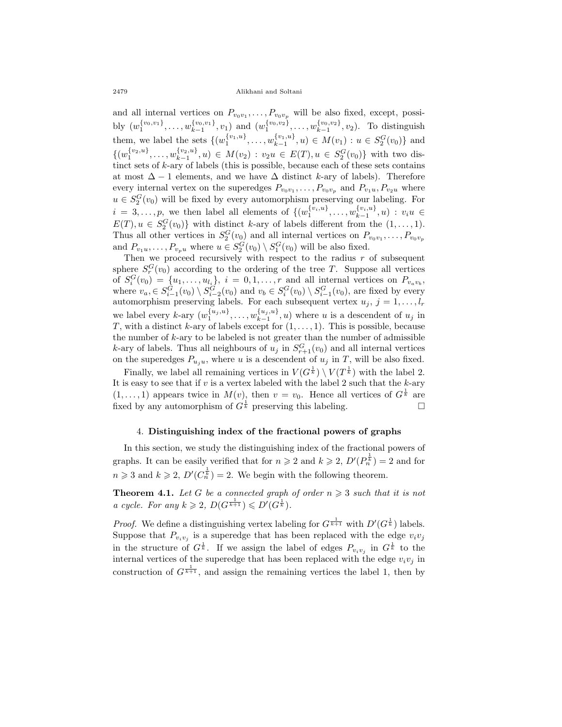2479 Alikhani and Soltani

and all internal vertices on  $P_{v_0v_1}, \ldots, P_{v_0v_p}$  will be also fixed, except, possibly  $(w_1^{\{v_0, v_1\}}, \ldots, w_{k-1}^{\{v_0, v_1\}}, v_1)$  and  $(w_1^{\{v_0, v_2\}}, \ldots, w_{k-1}^{\{v_0, v_2\}}, v_2)$ . To distinguish them, we label the sets  $\{(w_1^{\{v_1, u\}}, \ldots, w_{k-1}^{\{v_1, u\}}, u) \in M(v_1) : u \in S_2^G(v_0)\}\$ and  $\{(w_1^{\{v_2,u\}}, \ldots, w_{k-1}^{\{v_2,u\}}, u) \in M(v_2) : v_2u \in E(T), u \in S_2^G(v_0)\}\$  with two distinct sets of *k*-ary of labels (this is possible, because each of these sets contains at most  $\Delta - 1$  elements, and we have  $\Delta$  distinct *k*-ary of labels). Therefore every internal vertex on the superedges  $P_{v_0v_1}, \ldots, P_{v_0v_p}$  and  $P_{v_1u}, P_{v_2u}$  where  $u \in S_2^G(v_0)$  will be fixed by every automorphism preserving our labeling. For  $i = 3, \ldots, p$ , we then label all elements of  $\{(w_1^{\{v_i, u\}}, \ldots, w_{k-1}^{\{v_i, u\}}, u) : v_i u \in$  $E(T), u \in S_2^G(v_0)$ } with distinct *k*-ary of labels different from the  $(1, \ldots, 1)$ . Thus all other vertices in  $S_2^G(v_0)$  and all internal vertices on  $P_{v_0v_1}, \ldots, P_{v_0v_p}$ and  $P_{v_1v}, \ldots, P_{v_pu}$  where  $u \in S_2^G(v_0) \setminus S_1^G(v_0)$  will be also fixed.

Then we proceed recursively with respect to the radius  $r$  of subsequent sphere  $S_r^G(v_0)$  according to the ordering of the tree *T*. Suppose all vertices of  $S_i^G(v_0) = \{u_1, \ldots, u_{l_i}\}, i = 0, 1, \ldots, r$  and all internal vertices on  $P_{v_a v_b}$ , where  $v_a \in S_{i-1}^G(v_0) \setminus S_{i-2}^G(v_0)$  and  $v_b \in S_i^G(v_0) \setminus S_{i-1}^G(v_0)$ , are fixed by every automorphism preserving labels. For each subsequent vertex  $u_j$ ,  $j = 1, \ldots, l_r$ we label every  $k$ -ary  $(w_1^{\{u_j, u\}}, \ldots, w_{k-1}^{\{u_j, u\}}, u)$  where u is a descendent of  $u_j$  in *T*, with a distinct *k*-ary of labels except for (1*, . . . ,* 1). This is possible, because the number of *k*-ary to be labeled is not greater than the number of admissible *k*-ary of labels. Thus all neighbours of  $u_j$  in  $S_{r+1}^G(v_0)$  and all internal vertices on the superedges  $P_{u_i u}$ , where *u* is a descendent of  $u_j$  in *T*, will be also fixed.

Finally, we label all remaining vertices in  $V(G^{\frac{1}{k}}) \setminus V(T^{\frac{1}{k}})$  with the label 2. It is easy to see that if *v* is a vertex labeled with the label 2 such that the *k*-ary  $(1, \ldots, 1)$  appears twice in  $M(v)$ , then  $v = v_0$ . Hence all vertices of  $G^{\frac{1}{k}}$  are fixed by any automorphism of  $G^{\frac{1}{k}}$  preserving this labeling.  $\Box$ 

#### 4. **Distinguishing index of the fractional powers of graphs**

In this section, we study the distinguishing index of the fractional powers of graphs. It can be easily verified that for  $n \ge 2$  and  $k \ge 2$ ,  $D'(P_n^{\frac{1}{k}}) = 2$  and for  $n \geq 3$  and  $k \geq 2$ ,  $D'(C_n^{\frac{1}{k}}) = 2$ . We begin with the following theorem.

<span id="page-9-0"></span>**Theorem 4.1.** Let G be a connected graph of order  $n \geq 3$  such that it is not  $a \ cycle.$  For any  $k \geq 2$ ,  $D(G^{\frac{1}{k+1}}) \leq D'(G^{\frac{1}{k}})$ .

*Proof.* We define a distinguishing vertex labeling for  $G^{\frac{1}{k+1}}$  with  $D'(G^{\frac{1}{k}})$  labels. Suppose that  $P_{v_i v_j}$  is a superedge that has been replaced with the edge  $v_i v_j$ in the structure of  $G^{\frac{1}{k}}$ . If we assign the label of edges  $P_{v_i v_j}$  in  $G^{\frac{1}{k}}$  to the internal vertices of the superedge that has been replaced with the edge  $v_i v_j$  in construction of  $G^{\frac{1}{k+1}}$ , and assign the remaining vertices the label 1, then by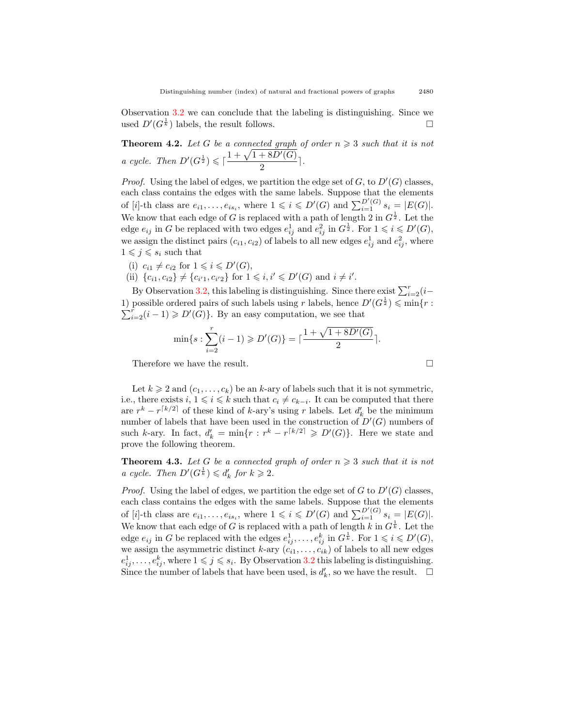Observation [3.2](#page-7-1) we can conclude that the labeling is distinguishing. Since we used  $D'(G^{\frac{1}{k}})$  labels, the result follows.  $\square$ 

**Theorem 4.2.** Let G be a connected graph of order  $n \geq 3$  such that it is not *a cycle.* Then  $D'(G^{\frac{1}{2}}) \leq \lceil \frac{1 + \sqrt{1 + 8D'(G)}}{2} \rceil$  $\frac{1}{2}$ .

*Proof.* Using the label of edges, we partition the edge set of  $G$ , to  $D'(G)$  classes, each class contains the edges with the same labels. Suppose that the elements of [i]-th class are  $e_{i1}, \ldots, e_{is_i}$ , where  $1 \leqslant i \leqslant D'(G)$  and  $\sum_{i=1}^{D'(G)} s_i = |E(G)|$ . We know that each edge of *G* is replaced with a path of length 2 in  $G^{\frac{1}{2}}$ . Let the edge  $e_{ij}$  in *G* be replaced with two edges  $e_{ij}^1$  and  $e_{ij}^2$  in  $G^{\frac{1}{2}}$ . For  $1 \leqslant i \leqslant D'(G)$ , we assign the distinct pairs  $(c_{i1}, c_{i2})$  of labels to all new edges  $e_{ij}^1$  and  $e_{ij}^2$ , where  $1 \leqslant j \leqslant s_i$  such that

- (i)  $c_{i1} \neq c_{i2}$  for  $1 \leq i \leq D'(G)$ ,
- (ii)  ${c_{i1}, c_{i2}} \neq {c_{i'1}, c_{i'2}}$  for  $1 \leq i, i' \leq D'(G)$  and  $i \neq i'$ .

By Observation [3.2,](#page-7-1) this labeling is distinguishing. Since there exist  $\sum_{i=2}^{r} (i-\frac{1}{2})$ 1) possible ordered pairs of such labels using *r* labels, hence  $D'(G^{\frac{1}{2}}) \leqslant \min\{r :$  $\sum_{i=2}^{r} (i-1) \geqslant D'(G)$ . By an easy computation, we see that

$$
\min\{s:\sum_{i=2}^r(i-1)\geqslant D'(G)\}=\lceil\frac{1+\sqrt{1+8D'(G)}}{2}\rceil.
$$
  
Therefore we have the result.

Let  $k \geq 2$  and  $(c_1, \ldots, c_k)$  be an *k*-ary of labels such that it is not symmetric, i.e., there exists  $i, 1 \leq i \leq k$  such that  $c_i \neq c_{k-i}$ . It can be computed that there are  $r^k - r^{\lceil k/2 \rceil}$  of these kind of *k*-ary's using *r* labels. Let  $d'_k$  be the minimum number of labels that have been used in the construction of *D′* (*G*) numbers of such *k*-ary. In fact,  $d'_{k} = \min\{r : r^{k} - r^{\lceil k/2 \rceil} \geqslant D'(G)\}$ . Here we state and prove the following theorem.

<span id="page-10-0"></span>**Theorem 4.3.** Let G be a connected graph of order  $n \geq 3$  such that it is not *a cycle.* Then  $D'(G^{\frac{1}{k}}) \leq d'_{k}$  for  $k \geq 2$ .

*Proof.* Using the label of edges, we partition the edge set of *G* to  $D'(G)$  classes, each class contains the edges with the same labels. Suppose that the elements of [i]-th class are  $e_{i1}, \ldots, e_{is_i}$ , where  $1 \leq i \leq D'(G)$  and  $\sum_{i=1}^{D'(G)} s_i = |E(G)|$ . We know that each edge of *G* is replaced with a path of length *k* in  $G^{\frac{1}{k}}$ . Let the edge  $e_{ij}$  in *G* be replaced with the edges  $e_{ij}^1, \ldots, e_{ij}^k$  in  $G^{\frac{1}{k}}$ . For  $1 \leq i \leq D'(G)$ , we assign the asymmetric distinct  $k$ -ary  $(c_{i1}, \ldots, c_{ik})$  of labels to all new edges  $e_{ij}^1, \ldots, e_{ij}^k$ , where  $1 \leqslant j \leqslant s_i$ . By Observation [3.2](#page-7-1) this labeling is distinguishing. Since the number of labels that have been used, is  $d'_{k}$ , so we have the result.  $\Box$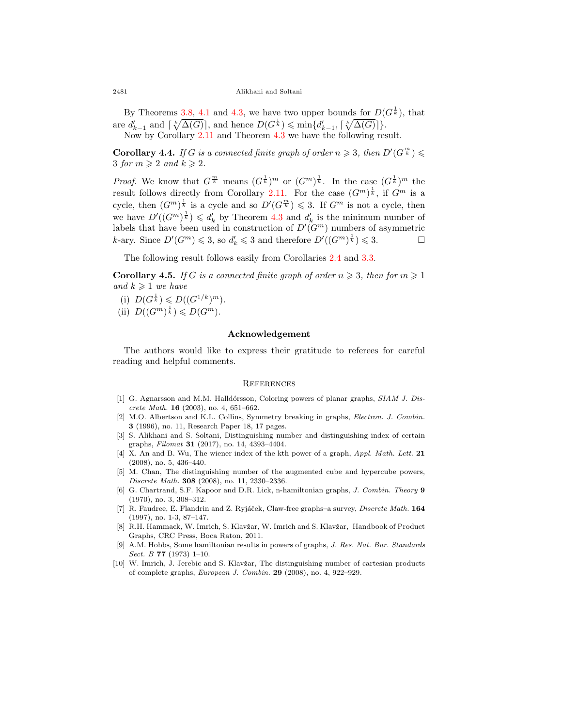#### 2481 Alikhani and Soltani

By Theorems [3.8,](#page-8-0) [4.1](#page-9-0) and [4.3,](#page-10-0) we have two upper bounds for  $D(G^{\frac{1}{k}})$ , that  $\text{area } d'_{k-1} \text{ and } \lceil \sqrt[k]{\Delta(G)} \rceil$ , and hence  $D(G^{\frac{1}{k}}) \leqslant \min\{d'_{k-1}, \lceil \sqrt[k]{\Delta(G)} \rceil\}.$ Now by Corollary [2.11](#page-6-0) and Theorem [4.3](#page-10-0) we have the following result.

**Corollary 4.4.** *If G is a connected finite graph of order*  $n \geq 3$ *, then*  $D'(G^{\frac{m}{k}}) \leq$ 3 *for*  $m \geqslant 2$  *and*  $k \geqslant 2$ *.* 

*Proof.* We know that  $G^{\frac{m}{k}}$  means  $(G^{\frac{1}{k}})^m$  or  $(G^m)^{\frac{1}{k}}$ . In the case  $(G^{\frac{1}{k}})^m$  the result follows directly from Corollary [2.11](#page-6-0). For the case  $(G^m)^{\frac{1}{k}}$ , if  $G^m$  is a cycle, then  $(G^m)^{\frac{1}{k}}$  is a cycle and so  $D'(G^{\frac{m}{k}}) \leq 3$ . If  $G^m$  is not a cycle, then we have  $D'((G^m)^{\frac{1}{k}}) \leq d'_{k}$  by Theorem [4.3](#page-10-0) and  $d'_{k}$  is the minimum number of labels that have been used in construction of  $D'(G^m)$  numbers of asymmetric *k*-ary. Since  $D'(G^m) \leq 3$ , so  $d'_k \leq 3$  and therefore  $D'((G^m)^{\frac{1}{k}}) \leq 3$ .

The following result follows easily from Corollaries [2.4](#page-3-2) and [3.3](#page-7-3).

**Corollary 4.5.** *If G is a connected finite graph of order*  $n \geq 3$ *, then for*  $m \geq 1$ *and*  $k \geq 1$  *we have* 

- (i)  $D(G^{\frac{1}{k}}) \leq D((G^{1/k})^m)$ .
- (ii)  $D((G^m)^{\frac{1}{k}}) \leq D(G^m)$ *.*

#### **Acknowledgement**

The authors would like to express their gratitude to referees for careful reading and helpful comments.

#### **REFERENCES**

- <span id="page-11-4"></span>[1] G. Agnarsson and M.M. Halldórsson, Coloring powers of planar graphs, *SIAM J. Discrete Math.* **16** (2003), no. 4, 651–662.
- <span id="page-11-1"></span>[2] M.O. Albertson and K.L. Collins, Symmetry breaking in graphs, *Electron. J. Combin.* **3** (1996), no. 11, Research Paper 18, 17 pages.
- <span id="page-11-2"></span>[3] S. Alikhani and S. Soltani, Distinguishing number and distinguishing index of certain graphs, *Filomat* **31** (2017), no. 14, 4393–4404.
- <span id="page-11-6"></span>[4] X. An and B. Wu, The wiener index of the kth power of a graph, *Appl. Math. Lett.* **21** (2008), no. 5, 436–440.
- <span id="page-11-7"></span>[5] M. Chan, The distinguishing number of the augmented cube and hypercube powers, *Discrete Math.* **308** (2008), no. 11, 2330–2336.
- <span id="page-11-8"></span>[6] G. Chartrand, S.F. Kapoor and D.R. Lick, n-hamiltonian graphs, *J. Combin. Theory* **9** (1970), no. 3, 308–312.
- <span id="page-11-9"></span>[7] R. Faudree, E. Flandrin and Z. Ryjáček, Claw-free graphs–a survey, *Discrete Math.* **164** (1997), no. 1-3, 87–147.
- <span id="page-11-0"></span>[8] R.H. Hammack, W. Imrich, S. Klavžar, W. Imrich and S. Klavžar, Handbook of Product Graphs, CRC Press, Boca Raton, 2011.
- <span id="page-11-5"></span>[9] A.M. Hobbs, Some hamiltonian results in powers of graphs, *J. Res. Nat. Bur. Standards Sect. B* **77** (1973) 1–10.
- <span id="page-11-3"></span>[10] W. Imrich, J. Jerebic and S. Klavžar, The distinguishing number of cartesian products of complete graphs, *European J. Combin.* **29** (2008), no. 4, 922–929.